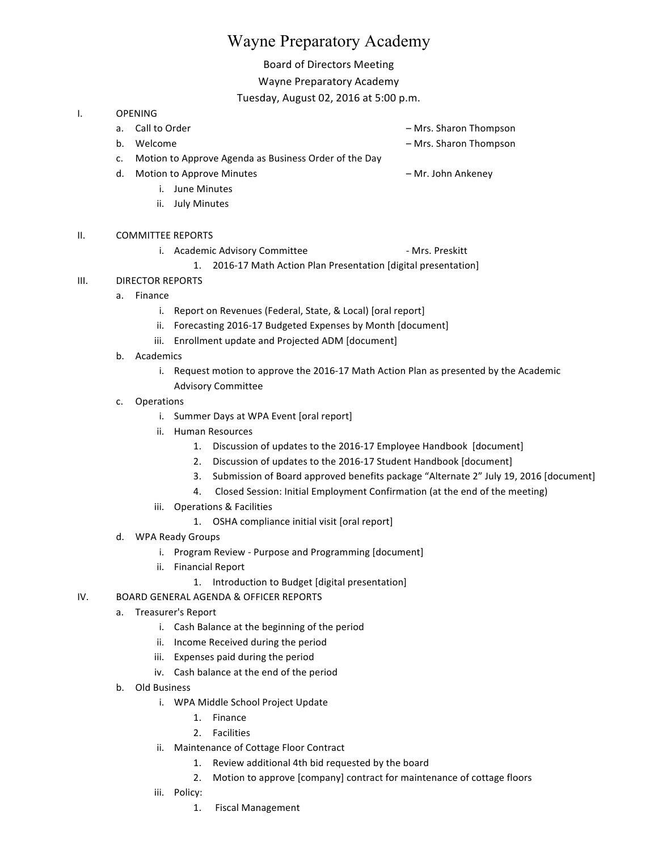# Wayne Preparatory Academy

## Board of Directors Meeting

#### Wayne Preparatory Academy

Tuesday, August 02, 2016 at 5:00 p.m.

#### I. OPENING

- a. Call to Order and the contract of the contract of the contract of the contract of the contract of the contract of the contract of the contract of the contract of the contract of the contract of the contract of the contr b. Welcome **b.** Welcome **and the state of the state of the state of the Mrs. Sharon Thompson** 
	- c. Motion to Approve Agenda as Business Order of the Day
	- d. Motion to Approve Minutes **Example 20 and Ankeney** American Motion Ankeney
		- i. June Minutes
		- ii. July Minutes
- II. COMMITTEE REPORTS
	- i. Academic Advisory Committee **Fig. 1. Academic Advisory Committee** Fig. 2.1. All 2.1. All 2.1. All 2.1. All 2.1

1. 2016-17 Math Action Plan Presentation [digital presentation]

- III. DIRECTOR REPORTS
	- a. Finance
		- i. Report on Revenues (Federal, State, & Local) [oral report]
		- ii. Forecasting 2016-17 Budgeted Expenses by Month [document]
		- iii. Enrollment update and Projected ADM [document]
	- b. Academics
		- i. Request motion to approve the 2016-17 Math Action Plan as presented by the Academic Advisory Committee
	- c. Operations
		- i. Summer Days at WPA Event [oral report]
		- ii. Human Resources
			- 1. Discussion of updates to the 2016-17 Employee Handbook [document]
			- 2. Discussion of updates to the 2016-17 Student Handbook [document]
			- 3. Submission of Board approved benefits package "Alternate 2" July 19, 2016 [document]
			- 4. Closed Session: Initial Employment Confirmation (at the end of the meeting)
		- iii. Operations & Facilities
			- 1. OSHA compliance initial visit [oral report]
	- d. WPA Ready Groups
		- i. Program Review Purpose and Programming [document]
		- ii. Financial Report
			- 1. Introduction to Budget [digital presentation]
- IV. BOARD GENERAL AGENDA & OFFICER REPORTS
	- a. Treasurer's Report
		- i. Cash Balance at the beginning of the period
		- ii. Income Received during the period
		- iii. Expenses paid during the period
		- iv. Cash balance at the end of the period
	- b. Old Business
		- i. WPA Middle School Project Update
			- 1. Finance
			- 2. Facilities
		- ii. Maintenance of Cottage Floor Contract
			- 1. Review additional 4th bid requested by the board
			- 2. Motion to approve [company] contract for maintenance of cottage floors
		- iii. Policy:
			- 1. Fiscal Management